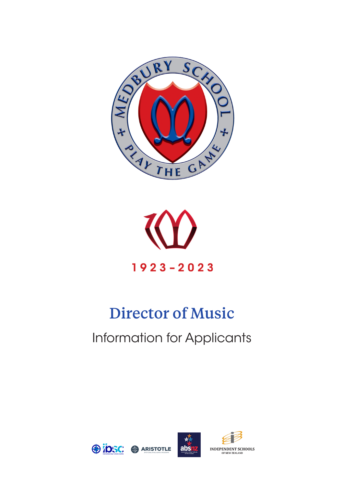



# Director of Music Information for Applicants

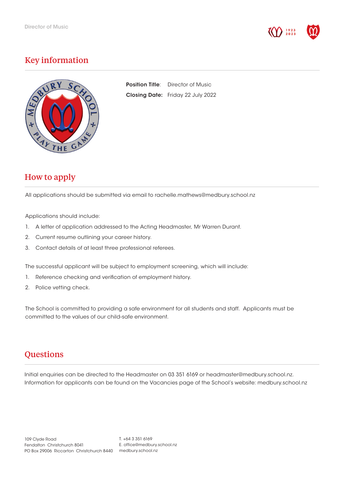

# Key information



**Position Title:** Director of Music Closing Date: Friday 22 July 2022

## How to apply

All applications should be submitted via email to rachelle.mathews@medbury.school.nz

Applications should include:

- 1. A letter of application addressed to the Acting Headmaster, Mr Warren Durant.
- 2. Current resume outlining your career history.
- 3. Contact details of at least three professional referees.

The successful applicant will be subject to employment screening, which will include:

- 1. Reference checking and verification of employment history.
- 2. Police vetting check.

The School is committed to providing a safe environment for all students and staff. Applicants must be committed to the values of our child-safe environment.

## **Questions**

Initial enquiries can be directed to the Headmaster on 03 351 6169 or headmaster@medbury.school.nz. Information for applicants can be found on the Vacancies page of the School's website: medbury.school.nz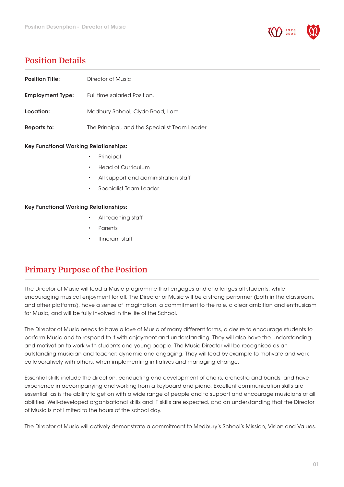

## Position Details

I

| <b>Position Title:</b>                       | Director of Music                                 |
|----------------------------------------------|---------------------------------------------------|
| <b>Employment Type:</b>                      | Full time salaried Position.                      |
| Location:                                    | Medbury School, Clyde Road, Ilam                  |
| Reports to:                                  | The Principal, and the Specialist Team Leader     |
| <b>Key Functional Working Relationships:</b> |                                                   |
|                                              | Principal<br>$\bullet$                            |
|                                              | <b>Head of Curriculum</b><br>$\bullet$            |
|                                              | All support and administration staff<br>$\bullet$ |
|                                              | Specialist Team Leader<br>$\bullet$               |
| <b>Key Functional Working Relationships:</b> |                                                   |
|                                              | All teaching staff<br>$\bullet$                   |
|                                              | Parents<br>$\bullet$                              |
|                                              | Itinerant staff<br>$\bullet$                      |
|                                              |                                                   |
| <b>Primary Purpose of the Position</b>       |                                                   |

 The Director of Music will lead a Music programme that engages and challenges all students, while encouraging musical enjoyment for all. The Director of Music will be a strong performer (both in the classroom, and other platforms), have a sense of imagination, a commitment to the role, a clear ambition and enthusiasm for Music, and will be fully involved in the life of the School.

The Director of Music needs to have a love of Music of many different forms, a desire to encourage students to perform Music and to respond to it with enjoyment and understanding. They will also have the understanding and motivation to work with students and young people. The Music Director will be recognised as an outstanding musician and teacher: dynamic and engaging. They will lead by example to motivate and work collaboratively with others, when implementing initiatives and managing change.

Essential skills include the direction, conducting and development of choirs, orchestra and bands, and have experience in accompanying and working from a keyboard and piano. Excellent communication skills are essential, as is the ability to get on with a wide range of people and to support and encourage musicians of all abilities. Well-developed organisational skills and IT skills are expected, and an understanding that the Director of Music is not limited to the hours of the school day.

The Director of Music will actively demonstrate a commitment to Medbury's School's Mission, Vision and Values.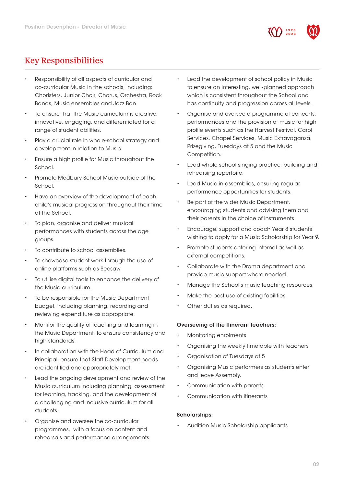

# Key Responsibilities

- Responsibility of all aspects of curricular and co-curricular Music in the schools, including: Choristers, Junior Choir, Chorus, Orchestra, Rock Bands, Music ensembles and Jazz Ban
- To ensure that the Music curriculum is creative, innovative, engaging, and differentiated for a range of student abilities.
- Play a crucial role in whole-school strategy and development in relation to Music.
- Ensure a high profile for Music throughout the School.
- Promote Medbury School Music outside of the School.
- Have an overview of the development of each child's musical progression throughout their time at the School.
- To plan, organise and deliver musical performances with students across the age groups.
- To contribute to school assemblies.
- To showcase student work through the use of online platforms such as Seesaw.
- To utilise digital tools to enhance the delivery of the Music curriculum.
- To be responsible for the Music Department budget, including planning, recording and reviewing expenditure as appropriate.
- Monitor the quality of teaching and learning in the Music Department, to ensure consistency and high standards.
- In collaboration with the Head of Curriculum and Principal, ensure that Staff Development needs are identified and appropriately met.
- Lead the ongoing development and review of the Music curriculum including planning, assessment for learning, tracking, and the development of a challenging and inclusive curriculum for all students.
- Organise and oversee the co-curricular programmes, with a focus on content and rehearsals and performance arrangements.
- Lead the development of school policy in Music to ensure an interesting, well-planned approach which is consistent throughout the School and has continuity and progression across all levels.
- Organise and oversee a programme of concerts, performances and the provision of music for high profile events such as the Harvest Festival, Carol Services, Chapel Services, Music Extravaganza, Prizegiving, Tuesdays at 5 and the Music Competition.
- Lead whole school singing practice; building and rehearsing repertoire.
- Lead Music in assemblies, ensuring regular performance opportunities for students.
- Be part of the wider Music Department, encouraging students and advising them and their parents in the choice of instruments.
- Encourage, support and coach Year 8 students wishing to apply for a Music Scholarship for Year 9.
- Promote students entering internal as well as external competitions.
- Collaborate with the Drama department and provide music support where needed.
- Manage the School's music teaching resources.
- Make the best use of existing facilities.
- Other duties as required.

#### Overseeing of the Itinerant teachers:

- Monitoring enrolments
- Organising the weekly timetable with teachers
- Organisation of Tuesdays at 5
- Organising Music performers as students enter and leave Assembly.
- Communication with parents
- Communication with itinerants

#### Scholarships:

• Audition Music Scholarship applicants